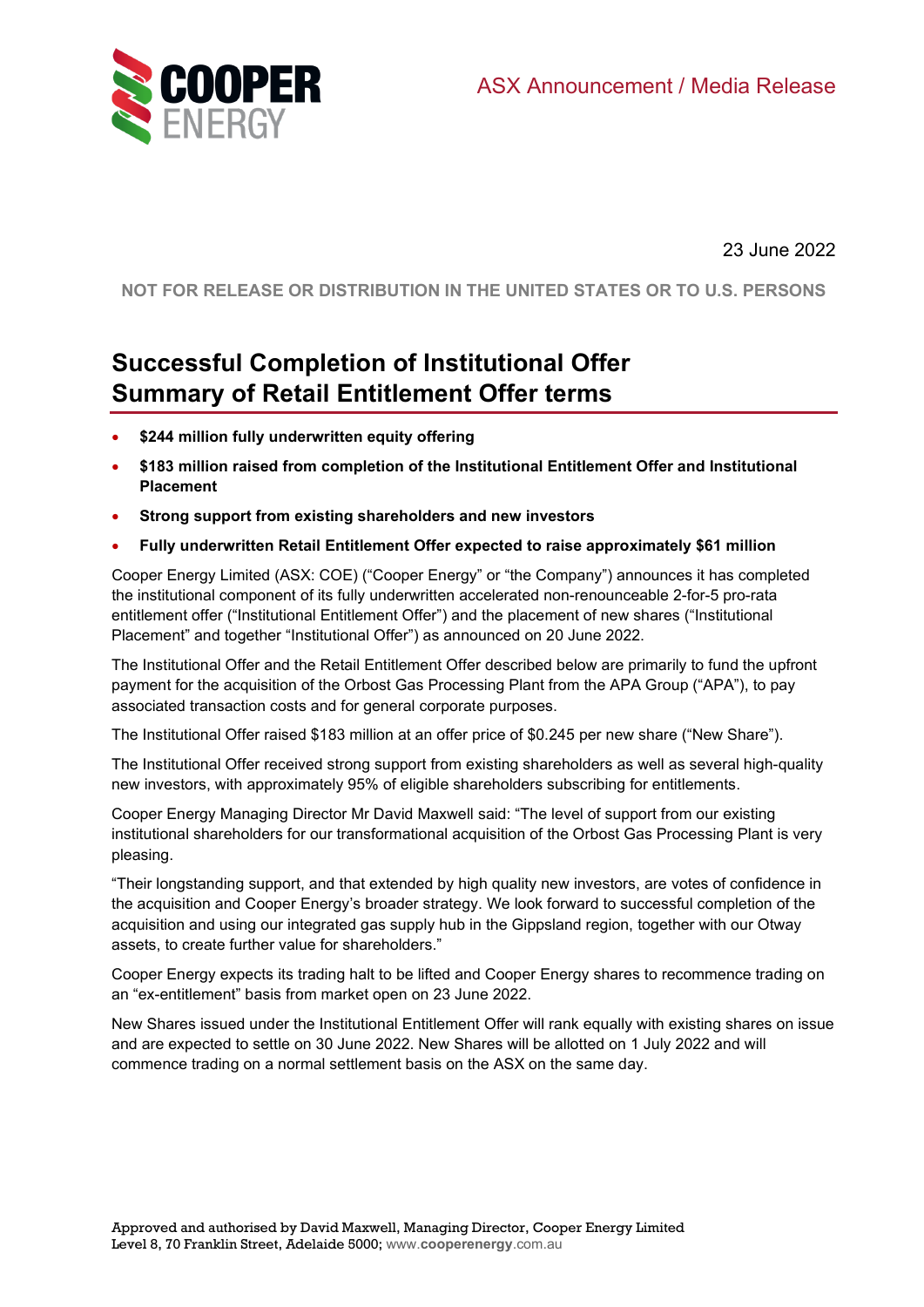

23 June 2022

**NOT FOR RELEASE OR DISTRIBUTION IN THE UNITED STATES OR TO U.S. PERSONS**

# **Successful Completion of Institutional Offer Summary of Retail Entitlement Offer terms**

- **\$244 million fully underwritten equity offering**
- **\$183 million raised from completion of the Institutional Entitlement Offer and Institutional Placement**
- **Strong support from existing shareholders and new investors**
- **Fully underwritten Retail Entitlement Offer expected to raise approximately \$61 million**

Cooper Energy Limited (ASX: COE) ("Cooper Energy" or "the Company") announces it has completed the institutional component of its fully underwritten accelerated non-renounceable 2-for-5 pro-rata entitlement offer ("Institutional Entitlement Offer") and the placement of new shares ("Institutional Placement" and together "Institutional Offer") as announced on 20 June 2022.

The Institutional Offer and the Retail Entitlement Offer described below are primarily to fund the upfront payment for the acquisition of the Orbost Gas Processing Plant from the APA Group ("APA"), to pay associated transaction costs and for general corporate purposes.

The Institutional Offer raised \$183 million at an offer price of \$0.245 per new share ("New Share").

The Institutional Offer received strong support from existing shareholders as well as several high-quality new investors, with approximately 95% of eligible shareholders subscribing for entitlements.

Cooper Energy Managing Director Mr David Maxwell said: "The level of support from our existing institutional shareholders for our transformational acquisition of the Orbost Gas Processing Plant is very pleasing.

"Their longstanding support, and that extended by high quality new investors, are votes of confidence in the acquisition and Cooper Energy's broader strategy. We look forward to successful completion of the acquisition and using our integrated gas supply hub in the Gippsland region, together with our Otway assets, to create further value for shareholders."

Cooper Energy expects its trading halt to be lifted and Cooper Energy shares to recommence trading on an "ex-entitlement" basis from market open on 23 June 2022.

New Shares issued under the Institutional Entitlement Offer will rank equally with existing shares on issue and are expected to settle on 30 June 2022. New Shares will be allotted on 1 July 2022 and will commence trading on a normal settlement basis on the ASX on the same day.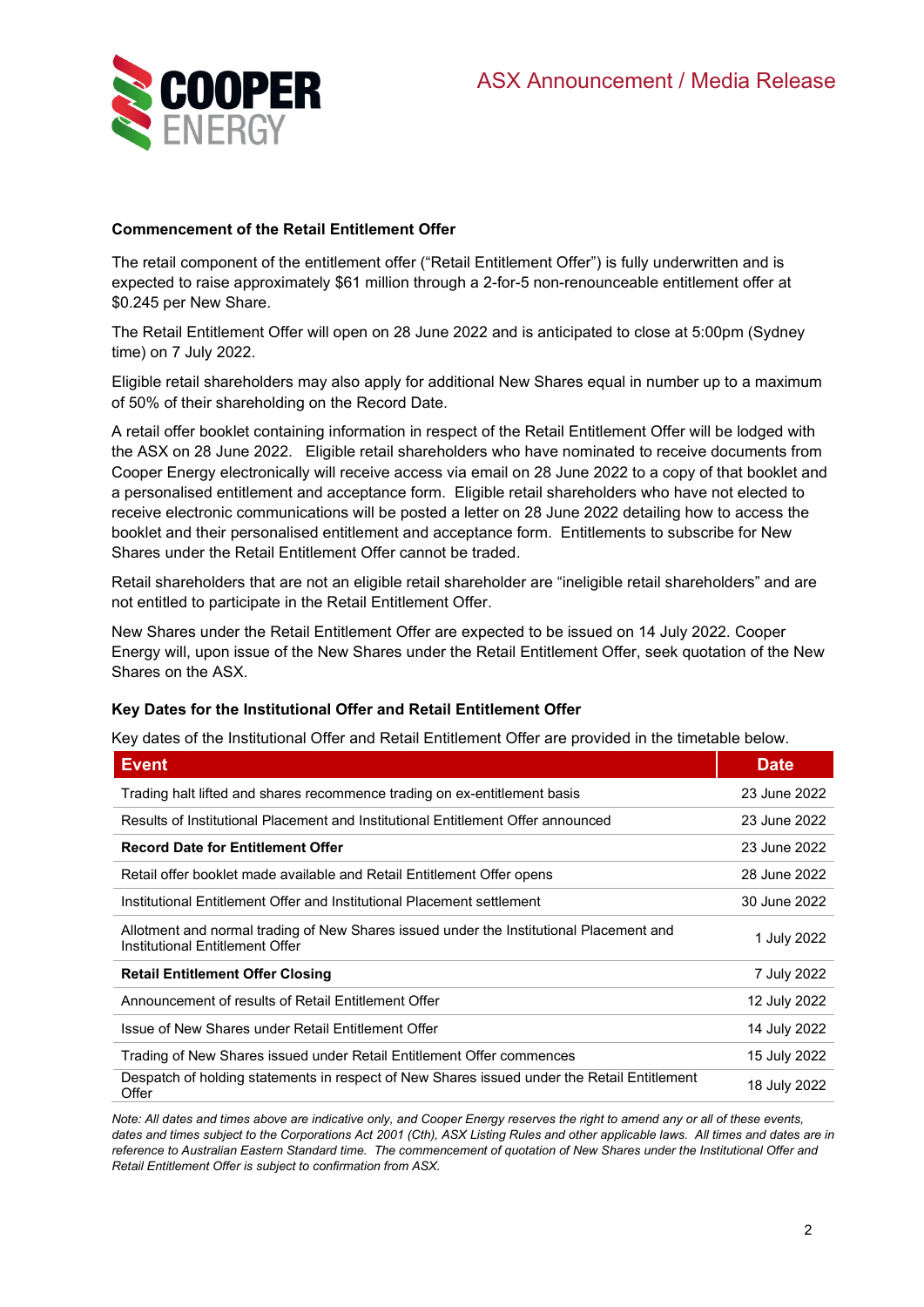

## **Commencement of the Retail Entitlement Offer**

The retail component of the entitlement offer ("Retail Entitlement Offer") is fully underwritten and is expected to raise approximately \$61 million through a 2-for-5 non-renounceable entitlement offer at \$0.245 per New Share.

The Retail Entitlement Offer will open on 28 June 2022 and is anticipated to close at 5:00pm (Sydney time) on 7 July 2022.

Eligible retail shareholders may also apply for additional New Shares equal in number up to a maximum of 50% of their shareholding on the Record Date.

A retail offer booklet containing information in respect of the Retail Entitlement Offer will be lodged with the ASX on 28 June 2022. Eligible retail shareholders who have nominated to receive documents from Cooper Energy electronically will receive access via email on 28 June 2022 to a copy of that booklet and a personalised entitlement and acceptance form. Eligible retail shareholders who have not elected to receive electronic communications will be posted a letter on 28 June 2022 detailing how to access the booklet and their personalised entitlement and acceptance form. Entitlements to subscribe for New Shares under the Retail Entitlement Offer cannot be traded.

Retail shareholders that are not an eligible retail shareholder are "ineligible retail shareholders" and are not entitled to participate in the Retail Entitlement Offer.

New Shares under the Retail Entitlement Offer are expected to be issued on 14 July 2022. Cooper Energy will, upon issue of the New Shares under the Retail Entitlement Offer, seek quotation of the New Shares on the ASX.

### **Key Dates for the Institutional Offer and Retail Entitlement Offer**

Key dates of the Institutional Offer and Retail Entitlement Offer are provided in the timetable below.

| <b>Event</b>                                                                                                               | <b>Date</b>  |
|----------------------------------------------------------------------------------------------------------------------------|--------------|
| Trading halt lifted and shares recommence trading on ex-entitlement basis                                                  | 23 June 2022 |
| Results of Institutional Placement and Institutional Entitlement Offer announced                                           | 23 June 2022 |
| <b>Record Date for Entitlement Offer</b>                                                                                   | 23 June 2022 |
| Retail offer booklet made available and Retail Entitlement Offer opens                                                     | 28 June 2022 |
| Institutional Entitlement Offer and Institutional Placement settlement                                                     | 30 June 2022 |
| Allotment and normal trading of New Shares issued under the Institutional Placement and<br>Institutional Entitlement Offer | 1 July 2022  |
| <b>Retail Entitlement Offer Closing</b>                                                                                    | 7 July 2022  |
| Announcement of results of Retail Entitlement Offer                                                                        | 12 July 2022 |
| Issue of New Shares under Retail Entitlement Offer                                                                         | 14 July 2022 |
| Trading of New Shares issued under Retail Entitlement Offer commences                                                      | 15 July 2022 |
| Despatch of holding statements in respect of New Shares issued under the Retail Entitlement<br>Offer                       | 18 July 2022 |

*Note: All dates and times above are indicative only, and Cooper Energy reserves the right to amend any or all of these events, dates and times subject to the Corporations Act 2001 (Cth), ASX Listing Rules and other applicable laws. All times and dates are in reference to Australian Eastern Standard time. The commencement of quotation of New Shares under the Institutional Offer and Retail Entitlement Offer is subject to confirmation from ASX.*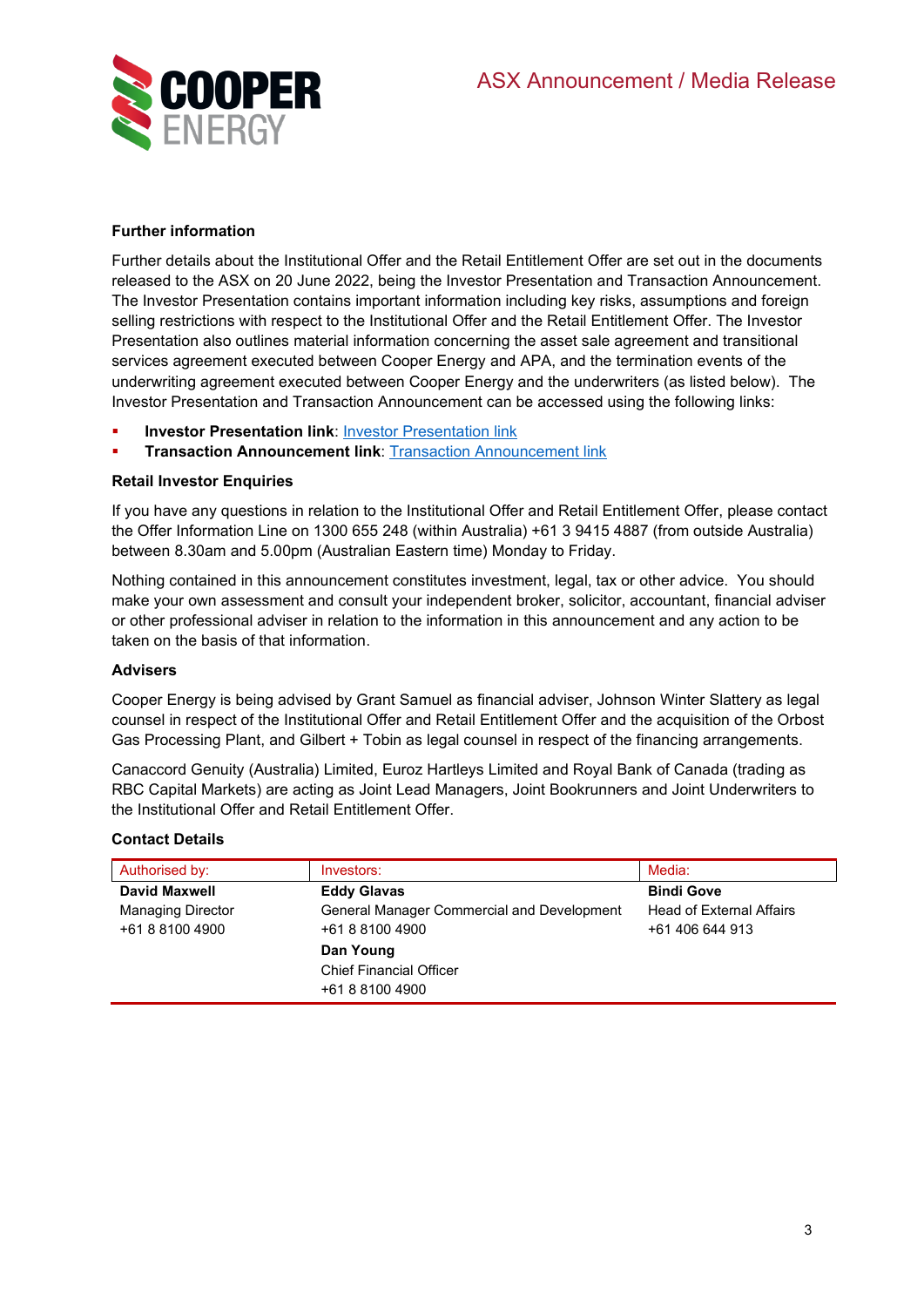

# **Further information**

Further details about the Institutional Offer and the Retail Entitlement Offer are set out in the documents released to the ASX on 20 June 2022, being the Investor Presentation and Transaction Announcement. The Investor Presentation contains important information including key risks, assumptions and foreign selling restrictions with respect to the Institutional Offer and the Retail Entitlement Offer. The Investor Presentation also outlines material information concerning the asset sale agreement and transitional services agreement executed between Cooper Energy and APA, and the termination events of the underwriting agreement executed between Cooper Energy and the underwriters (as listed below). The Investor Presentation and Transaction Announcement can be accessed using the following links:

- **Investor Presentation link: [Investor Presentation link](https://www.cooperenergy.com.au/Upload/Documents/AnnouncementsItem/Correction-to-Orbost-Gas-Processing-Plant---Investor-Presentation.pdf)**
- **Transaction Announcement link: Transaction Announcement link**

# **Retail Investor Enquiries**

If you have any questions in relation to the Institutional Offer and Retail Entitlement Offer, please contact the Offer Information Line on 1300 655 248 (within Australia) +61 3 9415 4887 (from outside Australia) between 8.30am and 5.00pm (Australian Eastern time) Monday to Friday.

Nothing contained in this announcement constitutes investment, legal, tax or other advice. You should make your own assessment and consult your independent broker, solicitor, accountant, financial adviser or other professional adviser in relation to the information in this announcement and any action to be taken on the basis of that information.

### **Advisers**

Cooper Energy is being advised by Grant Samuel as financial adviser, Johnson Winter Slattery as legal counsel in respect of the Institutional Offer and Retail Entitlement Offer and the acquisition of the Orbost Gas Processing Plant, and Gilbert + Tobin as legal counsel in respect of the financing arrangements.

Canaccord Genuity (Australia) Limited, Euroz Hartleys Limited and Royal Bank of Canada (trading as RBC Capital Markets) are acting as Joint Lead Managers, Joint Bookrunners and Joint Underwriters to the Institutional Offer and Retail Entitlement Offer.

### **Contact Details**

| Authorised by:           | Investors:                                 | Media:                          |
|--------------------------|--------------------------------------------|---------------------------------|
| David Maxwell            | <b>Eddy Glavas</b>                         | <b>Bindi Gove</b>               |
| <b>Managing Director</b> | General Manager Commercial and Development | <b>Head of External Affairs</b> |
| +61 8 8100 4900          | +61 8 8100 4900                            | +61 406 644 913                 |
|                          | Dan Young                                  |                                 |
|                          | <b>Chief Financial Officer</b>             |                                 |
|                          | +61 8 8100 4900                            |                                 |